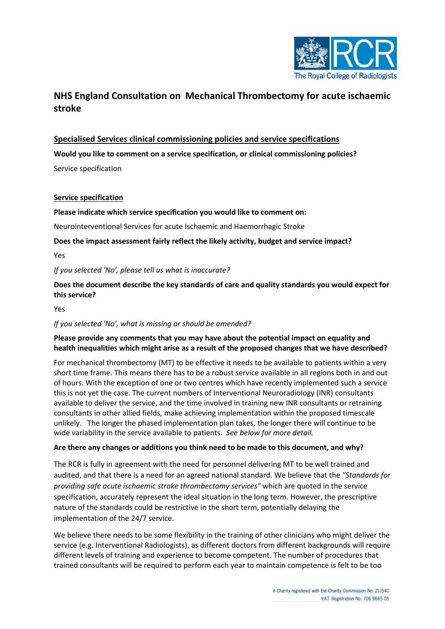

# **NHS England Consultation on Mechanical Thrombectomy for acute ischaemic stroke**

## **Specialised Services clinical commissioning policies and service specifications**

**Would you like to comment on a service specification, or clinical commissioning policies?**

Service specification

#### **Service specification**

#### **Please indicate which service specification you would like to comment on:**

Neurointerventional Services for acute Ischaemic and Haemorrhagic Stroke

**Does the impact assessment fairly reflect the likely activity, budget and service impact?** 

Yes

*If you selected 'No', please tell us what is inaccurate?*

**Does the document describe the key standards of care and quality standards you would expect for this service?** 

Yes

## *If you selected 'No', what is missing or should be amended?*

### **Please provide any comments that you may have about the potential impact on equality and health inequalities which might arise as a result of the proposed changes that we have described?**

For mechanical thrombectomy (MT) to be effective it needs to be available to patients within a very short time frame. This means there has to be a robust service available in all regions both in and out of hours. With the exception of one or two centres which have recently implemented such a service this is not yet the case. The current numbers of Interventional Neuroradiology (INR) consultants available to deliver the service, and the time involved in training new INR consultants or retraining consultants in other allied fields, make achieving implementation within the proposed timescale unlikely. The longer the phased implementation plan takes, the longer there will continue to be wide variability in the service available to patients. *See below for more detail.*

#### **Are there any changes or additions you think need to be made to this document, and why?**

The RCR is fully in agreement with the need for personnel delivering MT to be well trained and audited, and that there is a need for an agreed national standard. We believe that the *"Standards for providing safe acute ischaemic stroke thrombectomy services"* which are quoted in the service specification, accurately represent the ideal situation in the long term. However, the prescriptive nature of the standards could be restrictive in the short term, potentially delaying the implementation of the 24/7 service.

We believe there needs to be some flexibility in the training of other clinicians who might deliver the service (e.g. Interventional Radiologists), as different doctors from different backgrounds will require different levels of training and experience to become competent. The number of procedures that trained consultants will be required to perform each year to maintain competence is felt to be too